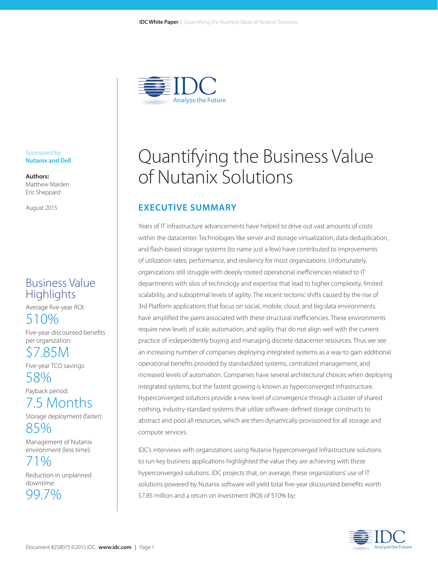

#### Sponsored by: **Nutanix and Dell**

**Authors:** Matthew Marden Eric Sheppard

August 2015

## Business Value **Highlights**

Average five-year ROI:

510%

Five-year discounted benefits per organization:

\$7.85M

Five-year TCO savings: 58%

Payback period:

7.5 Months

Storage deployment (faster):

85%

Management of Nutanix environment (less time):

71% Reduction in unplanned downtime:

99.7%

# Quantifying the Business Value of Nutanix Solutions

### **EXECUTIVE SUMMARY**

Years of IT infrastructure advancements have helped to drive out vast amounts of costs within the datacenter. Technologies like server and storage virtualization, data deduplication, and flash-based storage systems (to name just a few) have contributed to improvements of utilization rates, performance, and resiliency for most organizations. Unfortunately, organizations still struggle with deeply rooted operational inefficiencies related to IT departments with silos of technology and expertise that lead to higher complexity, limited scalability, and suboptimal levels of agility. The recent tectonic shifts caused by the rise of 3rd Platform applications that focus on social, mobile, cloud, and big data environments have amplified the pains associated with these structural inefficiencies. These environments require new levels of scale, automation, and agility that do not align well with the current practice of independently buying and managing discrete datacenter resources. Thus we see an increasing number of companies deploying integrated systems as a way to gain additional operational benefits provided by standardized systems, centralized management, and increased levels of automation. Companies have several architectural choices when deploying integrated systems, but the fastest growing is known as hyperconverged infrastructure. Hyperconverged solutions provide a new level of convergence through a cluster of shared nothing, industry-standard systems that utilize software-defined storage constructs to abstract and pool all resources, which are then dynamically provisioned for all storage and compute services.

IDC's interviews with organizations using Nutanix hyperconverged infrastructure solutions to run key business applications highlighted the value they are achieving with these hyperconverged solutions. IDC projects that, on average, these organizations' use of IT solutions powered by Nutanix software will yield total five-year discounted benefits worth \$7.85 million and a return on investment (ROI) of 510% by:

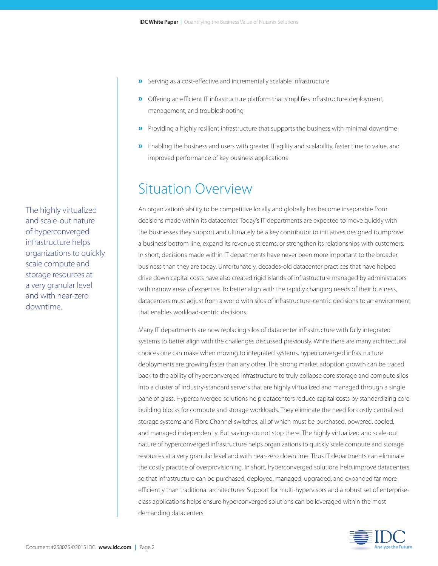- »Serving as a cost-effective and incrementally scalable infrastructure
- »Offering an efficient IT infrastructure platform that simplifies infrastructure deployment, management, and troubleshooting
- »Providing a highly resilient infrastructure that supports the business with minimal downtime
- »Enabling the business and users with greater IT agility and scalability, faster time to value, and improved performance of key business applications

## Situation Overview

An organization's ability to be competitive locally and globally has become inseparable from decisions made within its datacenter. Today's IT departments are expected to move quickly with the businesses they support and ultimately be a key contributor to initiatives designed to improve a business' bottom line, expand its revenue streams, or strengthen its relationships with customers. In short, decisions made within IT departments have never been more important to the broader business than they are today. Unfortunately, decades-old datacenter practices that have helped drive down capital costs have also created rigid islands of infrastructure managed by administrators with narrow areas of expertise. To better align with the rapidly changing needs of their business, datacenters must adjust from a world with silos of infrastructure-centric decisions to an environment that enables workload-centric decisions.

Many IT departments are now replacing silos of datacenter infrastructure with fully integrated systems to better align with the challenges discussed previously. While there are many architectural choices one can make when moving to integrated systems, hyperconverged infrastructure deployments are growing faster than any other. This strong market adoption growth can be traced back to the ability of hyperconverged infrastructure to truly collapse core storage and compute silos into a cluster of industry-standard servers that are highly virtualized and managed through a single pane of glass. Hyperconverged solutions help datacenters reduce capital costs by standardizing core building blocks for compute and storage workloads. They eliminate the need for costly centralized storage systems and Fibre Channel switches, all of which must be purchased, powered, cooled, and managed independently. But savings do not stop there. The highly virtualized and scale-out nature of hyperconverged infrastructure helps organizations to quickly scale compute and storage resources at a very granular level and with near-zero downtime. Thus IT departments can eliminate the costly practice of overprovisioning. In short, hyperconverged solutions help improve datacenters so that infrastructure can be purchased, deployed, managed, upgraded, and expanded far more efficiently than traditional architectures. Support for multi-hypervisors and a robust set of enterpriseclass applications helps ensure hyperconverged solutions can be leveraged within the most demanding datacenters.



The highly virtualized and scale-out nature of hyperconverged infrastructure helps organizations to quickly scale compute and storage resources at a very granular level and with near-zero downtime.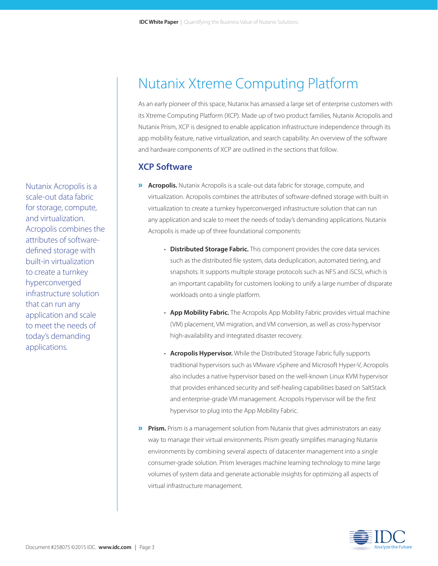Nutanix Acropolis is a scale-out data fabric for storage, compute, and virtualization. Acropolis combines the attributes of softwaredefined storage with built-in virtualization to create a turnkey hyperconverged infrastructure solution that can run any application and scale to meet the needs of today's demanding applications.

## Nutanix Xtreme Computing Platform

As an early pioneer of this space, Nutanix has amassed a large set of enterprise customers with its Xtreme Computing Platform (XCP). Made up of two product families, Nutanix Acropolis and Nutanix Prism, XCP is designed to enable application infrastructure independence through its app mobility feature, native virtualization, and search capability. An overview of the software and hardware components of XCP are outlined in the sections that follow.

#### **XCP Software**

- » **Acropolis.** Nutanix Acropolis is a scale-out data fabric for storage, compute, and virtualization. Acropolis combines the attributes of software-defined storage with built-in virtualization to create a turnkey hyperconverged infrastructure solution that can run any application and scale to meet the needs of today's demanding applications. Nutanix Acropolis is made up of three foundational components:
	- **Distributed Storage Fabric.** This component provides the core data services such as the distributed file system, data deduplication, automated tiering, and snapshots. It supports multiple storage protocols such as NFS and iSCSI, which is an important capability for customers looking to unify a large number of disparate workloads onto a single platform.
	- **App Mobility Fabric.** The Acropolis App Mobility Fabric provides virtual machine (VM) placement, VM migration, and VM conversion, as well as cross-hypervisor high-availability and integrated disaster recovery.
	- **Acropolis Hypervisor.** While the Distributed Storage Fabric fully supports traditional hypervisors such as VMware vSphere and Microsoft Hyper-V, Acropolis also includes a native hypervisor based on the well-known Linux KVM hypervisor that provides enhanced security and self-healing capabilities based on SaltStack and enterprise-grade VM management. Acropolis Hypervisor will be the first hypervisor to plug into the App Mobility Fabric.
- **»** Prism. Prism is a management solution from Nutanix that gives administrators an easy way to manage their virtual environments. Prism greatly simplifies managing Nutanix environments by combining several aspects of datacenter management into a single consumer-grade solution. Prism leverages machine learning technology to mine large volumes of system data and generate actionable insights for optimizing all aspects of virtual infrastructure management.

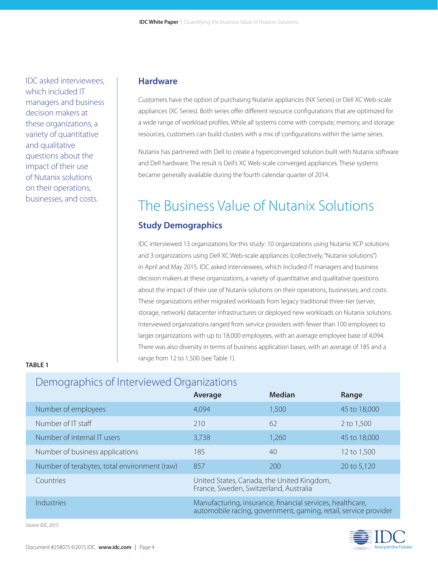IDC asked interviewees, which included IT managers and business decision makers at these organizations, a variety of quantitative and qualitative questions about the impact of their use of Nutanix solutions on their operations, businesses, and costs.

#### **Hardware**

Customers have the option of purchasing Nutanix appliances (NX Series) or Dell XC Web-scale appliances (XC Series). Both series offer different resource configurations that are optimized for a wide range of workload profiles. While all systems come with compute, memory, and storage resources, customers can build clusters with a mix of configurations within the same series.

Nutanix has partnered with Dell to create a hyperconverged solution built with Nutanix software and Dell hardware. The result is Dell's XC Web-scale converged appliances. These systems became generally available during the fourth calendar quarter of 2014.

# The Business Value of Nutanix Solutions

#### **Study Demographics**

IDC interviewed 13 organizations for this study: 10 organizations using Nutanix XCP solutions and 3 organizations using Dell XC Web-scale appliances (collectively, "Nutanix solutions") in April and May 2015. IDC asked interviewees, which included IT managers and business decision makers at these organizations, a variety of quantitative and qualitative questions about the impact of their use of Nutanix solutions on their operations, businesses, and costs. These organizations either migrated workloads from legacy traditional three-tier (server, storage, network) datacenter infrastructures or deployed new workloads on Nutanix solutions. Interviewed organizations ranged from service providers with fewer than 100 employees to larger organizations with up to 18,000 employees, with an average employee base of 4,094. There was also diversity in terms of business application bases, with an average of 185 and a range from 12 to 1,500 (see Table 1).

#### **TABLE 1**

### Demographics of Interviewed Organizations

|                                              | Average                                                                                                                      | <b>Median</b> | Range        |
|----------------------------------------------|------------------------------------------------------------------------------------------------------------------------------|---------------|--------------|
| Number of employees                          | 4,094                                                                                                                        | 1,500         | 45 to 18,000 |
| Number of IT staff                           | 210                                                                                                                          | 62            | 2 to 1,500   |
| Number of internal IT users                  | 3,738                                                                                                                        | 1,260         | 45 to 18,000 |
| Number of business applications              | 185                                                                                                                          | 40            | 12 to 1,500  |
| Number of terabytes, total environment (raw) | 857                                                                                                                          | 200           | 20 to 5,120  |
| Countries                                    | United States, Canada, the United Kingdom,<br>France, Sweden, Switzerland, Australia                                         |               |              |
| Industries                                   | Manufacturing, insurance, financial services, healthcare,<br>automobile racing, government, gaming, retail, service provider |               |              |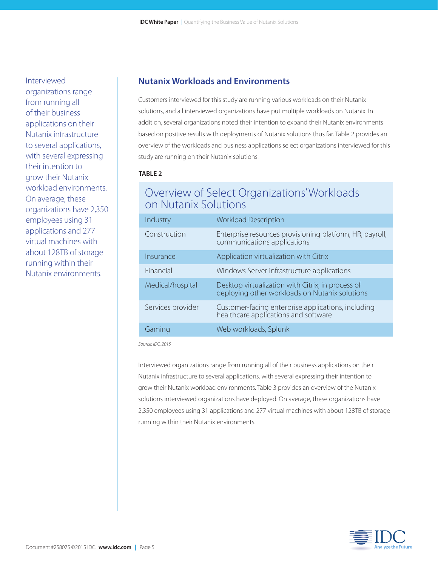Interviewed organizations range from running all of their business applications on their Nutanix infrastructure to several applications, with several expressing their intention to grow their Nutanix workload environments. On average, these organizations have 2,350 employees using 31 applications and 277 virtual machines with about 128TB of storage running within their Nutanix environments.

#### **Nutanix Workloads and Environments**

Customers interviewed for this study are running various workloads on their Nutanix solutions, and all interviewed organizations have put multiple workloads on Nutanix. In addition, several organizations noted their intention to expand their Nutanix environments based on positive results with deployments of Nutanix solutions thus far. Table 2 provides an overview of the workloads and business applications select organizations interviewed for this study are running on their Nutanix solutions.

#### **TABLE 2**

### Overview of Select Organizations' Workloads on Nutanix Solutions

| Industry          | <b>Workload Description</b>                                                                         |
|-------------------|-----------------------------------------------------------------------------------------------------|
| Construction      | Enterprise resources provisioning platform, HR, payroll,<br>communications applications             |
| Insurance         | Application virtualization with Citrix                                                              |
| Financial         | Windows Server infrastructure applications                                                          |
| Medical/hospital  | Desktop virtualization with Citrix, in process of<br>deploying other workloads on Nutanix solutions |
| Services provider | Customer-facing enterprise applications, including<br>healthcare applications and software          |
| Gaming            | Web workloads, Splunk                                                                               |

*Source: IDC, 2015*

Interviewed organizations range from running all of their business applications on their Nutanix infrastructure to several applications, with several expressing their intention to grow their Nutanix workload environments. Table 3 provides an overview of the Nutanix solutions interviewed organizations have deployed. On average, these organizations have 2,350 employees using 31 applications and 277 virtual machines with about 128TB of storage running within their Nutanix environments.

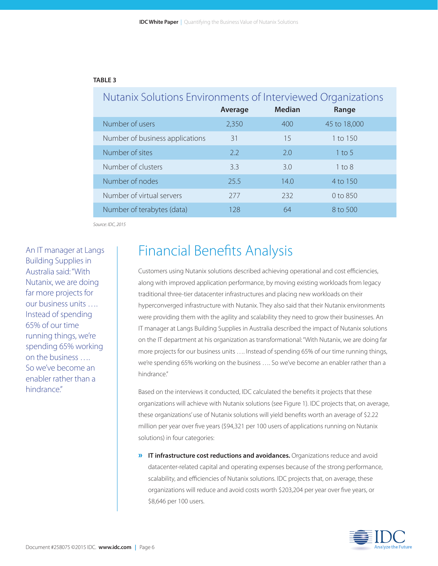#### **TABLE 3**

| Nutanix Solutions Environments of Interviewed Organizations |         |               |              |  |  |  |
|-------------------------------------------------------------|---------|---------------|--------------|--|--|--|
|                                                             | Average | <b>Median</b> | Range        |  |  |  |
| Number of users                                             | 2,350   | 400           | 45 to 18,000 |  |  |  |
| Number of business applications                             | 31      | 15            | 1 to 150     |  |  |  |
| Number of sites                                             | 22      | 2.0           | 1 to 5       |  |  |  |
| Number of clusters                                          | 3.3     | 3.0           | $1$ to $8$   |  |  |  |
| Number of nodes                                             | 25.5    | 14.0          | 4 to 150     |  |  |  |
| Number of virtual servers                                   | 277     | 232           | $0$ to $850$ |  |  |  |
| Number of terabytes (data)                                  | 128     | 64            | 8 to 500     |  |  |  |

*Source: IDC, 2015*

An IT manager at Langs Building Supplies in Australia said: "With Nutanix, we are doing far more projects for our business units …. Instead of spending 65% of our time running things, we're spending 65% working on the business …. So we've become an enabler rather than a hindrance."

## Financial Benefits Analysis

Customers using Nutanix solutions described achieving operational and cost efficiencies, along with improved application performance, by moving existing workloads from legacy traditional three-tier datacenter infrastructures and placing new workloads on their hyperconverged infrastructure with Nutanix. They also said that their Nutanix environments were providing them with the agility and scalability they need to grow their businesses. An IT manager at Langs Building Supplies in Australia described the impact of Nutanix solutions on the IT department at his organization as transformational: "With Nutanix, we are doing far more projects for our business units …. Instead of spending 65% of our time running things, we're spending 65% working on the business …. So we've become an enabler rather than a hindrance."

Based on the interviews it conducted, IDC calculated the benefits it projects that these organizations will achieve with Nutanix solutions (see Figure 1). IDC projects that, on average, these organizations' use of Nutanix solutions will yield benefits worth an average of \$2.22 million per year over five years (\$94,321 per 100 users of applications running on Nutanix solutions) in four categories:

» **IT infrastructure cost reductions and avoidances.** Organizations reduce and avoid datacenter-related capital and operating expenses because of the strong performance, scalability, and efficiencies of Nutanix solutions. IDC projects that, on average, these organizations will reduce and avoid costs worth \$203,204 per year over five years, or \$8,646 per 100 users.

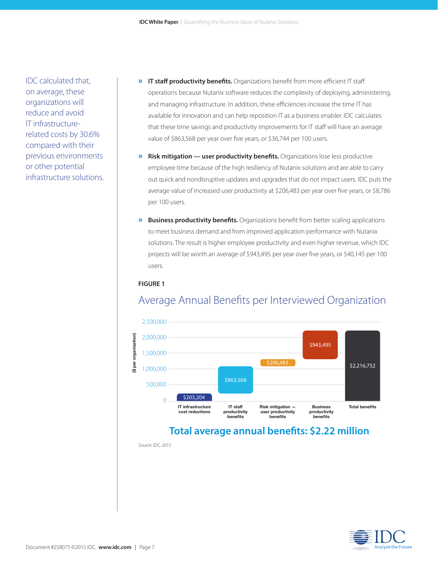IDC calculated that, on average, these organizations will reduce and avoid IT infrastructurerelated costs by 30.6% compared with their previous environments or other potential infrastructure solutions.

- » **IT staff productivity benefits.** Organizations benefit from more efficient IT staff operations because Nutanix software reduces the complexity of deploying, administering, and managing infrastructure. In addition, these efficiencies increase the time IT has available for innovation and can help reposition IT as a business enabler. IDC calculates that these time savings and productivity improvements for IT staff will have an average value of \$863,568 per year over five years, or \$36,744 per 100 users.
- » **Risk mitigation user productivity benefits.** Organizations lose less productive employee time because of the high resiliency of Nutanix solutions and are able to carry out quick and nondisruptive updates and upgrades that do not impact users. IDC puts the average value of increased user productivity at \$206,483 per year over five years, or \$8,786 per 100 users.
- » **Business productivity benefits.** Organizations benefit from better scaling applications to meet business demand and from improved application performance with Nutanix solutions. The result is higher employee productivity and even higher revenue, which IDC projects will be worth an average of \$943,495 per year over five years, or \$40,145 per 100 users.

#### **FIGURE 1**



### Average Annual Benefits per Interviewed Organization

### **Total average annual benefits: \$2.22 million**

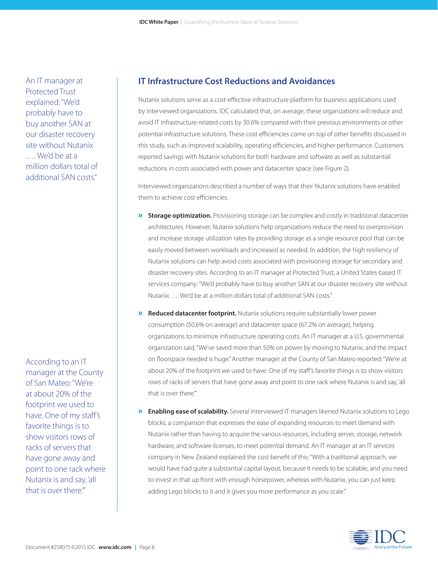According to an IT manager at the County of San Mateo: "We're at about 20% of the footprint we used to have. One of my staff's favorite things is to show visitors rows of racks of servers that have gone away and point to one rack where Nutanix is and say, 'all that is over there.'"

An IT manager at Protected Trust explained: "We'd probably have to buy another SAN at our disaster recovery site without Nutanix …. We'd be at a

million dollars total of additional SAN costs."

#### **IT Infrastructure Cost Reductions and Avoidances**

Nutanix solutions serve as a cost-effective infrastructure platform for business applications used by interviewed organizations. IDC calculated that, on average, these organizations will reduce and avoid IT infrastructure-related costs by 30.6% compared with their previous environments or other potential infrastructure solutions. These cost efficiencies come on top of other benefits discussed in this study, such as improved scalability, operating efficiencies, and higher performance. Customers reported savings with Nutanix solutions for both hardware and software as well as substantial reductions in costs associated with power and datacenter space (see Figure 2).

Interviewed organizations described a number of ways that their Nutanix solutions have enabled them to achieve cost efficiencies:

- **»** Storage optimization. Provisioning storage can be complex and costly in traditional datacenter architectures. However, Nutanix solutions help organizations reduce the need to overprovision and increase storage utilization rates by providing storage as a single resource pool that can be easily moved between workloads and increased as needed. In addition, the high resiliency of Nutanix solutions can help avoid costs associated with provisioning storage for secondary and disaster recovery sites. According to an IT manager at Protected Trust, a United States-based IT services company: "We'd probably have to buy another SAN at our disaster recovery site without Nutanix …. We'd be at a million dollars total of additional SAN costs."
- » **Reduced datacenter footprint.** Nutanix solutions require substantially lower power consumption (50.6% on average) and datacenter space (67.2% on average), helping organizations to minimize infrastructure operating costs. An IT manager at a U.S. governmental organization said, "We've saved more than 50% on power by moving to Nutanix, and the impact on floorspace needed is huge." Another manager at the County of San Mateo reported: "We're at about 20% of the footprint we used to have. One of my staff's favorite things is to show visitors rows of racks of servers that have gone away and point to one rack where Nutanix is and say, 'all that is over there."
- » **Enabling ease of scalability.** Several interviewed IT managers likened Nutanix solutions to Lego blocks, a comparison that expresses the ease of expanding resources to meet demand with Nutanix rather than having to acquire the various resources, including server, storage, network hardware, and software licenses, to meet potential demand. An IT manager at an IT services company in New Zealand explained the cost benefit of this: "With a traditional approach, we would have had quite a substantial capital layout, because it needs to be scalable, and you need to invest in that up front with enough horsepower, whereas with Nutanix, you can just keep adding Lego blocks to it and it gives you more performance as you scale."

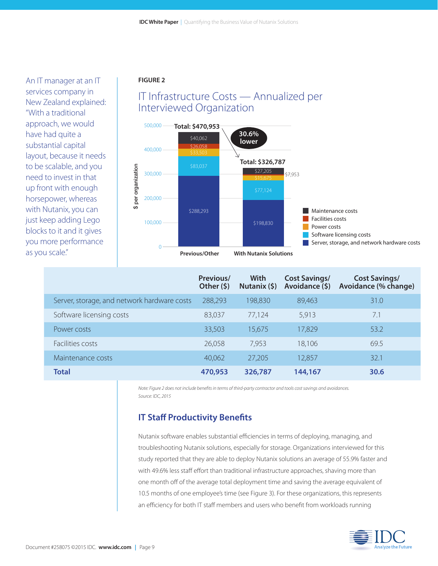An IT manager at an IT services company in New Zealand explained: "With a traditional approach, we would have had quite a substantial capital layout, because it needs to be scalable, and you need to invest in that up front with enough horsepower, whereas with Nutanix, you can just keep adding Lego blocks to it and it gives you more performance as you scale."

#### **FIGURE 2**





|                                             | Previous/<br>Other $(5)$ | With<br>Nutanix $(5)$ | <b>Cost Savings/</b><br>Avoidance (\$) | <b>Cost Savings/</b><br>Avoidance (% change) |
|---------------------------------------------|--------------------------|-----------------------|----------------------------------------|----------------------------------------------|
| Server, storage, and network hardware costs | 288,293                  | 198,830               | 89,463                                 | 31.0                                         |
| Software licensing costs                    | 83,037                   | 77,124                | 5,913                                  | 7.1                                          |
| Power costs                                 | 33,503                   | 15,675                | 17,829                                 | 53.2                                         |
| Facilities costs                            | 26,058                   | 7,953                 | 18,106                                 | 69.5                                         |
| Maintenance costs                           | 40,062                   | 27,205                | 12,857                                 | 32.1                                         |
| <b>Total</b>                                | 470,953                  | 326,787               | 144,167                                | 30.6                                         |

*Note: Figure 2 does not include benefits in terms of third-party contractor and tools cost savings and avoidances. Source: IDC, 2015*

### **IT Staff Productivity Benefits**

Nutanix software enables substantial efficiencies in terms of deploying, managing, and troubleshooting Nutanix solutions, especially for storage. Organizations interviewed for this study reported that they are able to deploy Nutanix solutions an average of 55.9% faster and with 49.6% less staff effort than traditional infrastructure approaches, shaving more than one month off of the average total deployment time and saving the average equivalent of 10.5 months of one employee's time (see Figure 3). For these organizations, this represents an efficiency for both IT staff members and users who benefit from workloads running

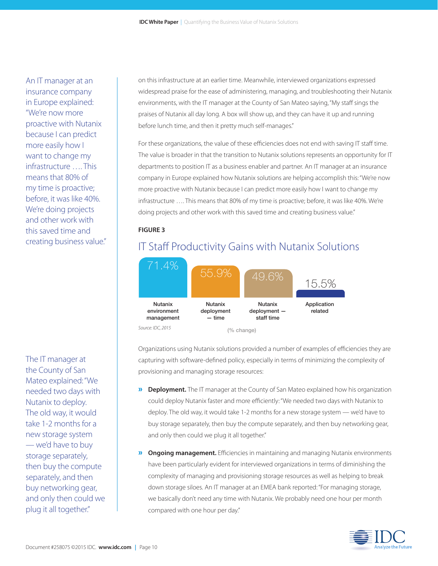An IT manager at an insurance company in Europe explained: "We're now more proactive with Nutanix because I can predict more easily how I want to change my infrastructure …. This means that 80% of my time is proactive; before, it was like 40%. We're doing projects and other work with this saved time and creating business value."

The IT manager at the County of San Mateo explained: "We needed two days with Nutanix to deploy. The old way, it would take 1-2 months for a new storage system — we'd have to buy storage separately, then buy the compute separately, and then buy networking gear, and only then could we plug it all together."

on this infrastructure at an earlier time. Meanwhile, interviewed organizations expressed widespread praise for the ease of administering, managing, and troubleshooting their Nutanix environments, with the IT manager at the County of San Mateo saying, "My staff sings the praises of Nutanix all day long. A box will show up, and they can have it up and running before lunch time, and then it pretty much self-manages."

For these organizations, the value of these efficiencies does not end with saving IT staff time. The value is broader in that the transition to Nutanix solutions represents an opportunity for IT departments to position IT as a business enabler and partner. An IT manager at an insurance company in Europe explained how Nutanix solutions are helping accomplish this: "We're now more proactive with Nutanix because I can predict more easily how I want to change my infrastructure …. This means that 80% of my time is proactive; before, it was like 40%. We're doing projects and other work with this saved time and creating business value."

#### **FIGURE 3**

### IT Staff Productivity Gains with Nutanix Solutions



Organizations using Nutanix solutions provided a number of examples of efficiencies they are capturing with software-defined policy, especially in terms of minimizing the complexity of provisioning and managing storage resources:

- » **Deployment.** The IT manager at the County of San Mateo explained how his organization could deploy Nutanix faster and more efficiently: "We needed two days with Nutanix to deploy. The old way, it would take 1-2 months for a new storage system — we'd have to buy storage separately, then buy the compute separately, and then buy networking gear, and only then could we plug it all together."
- » **Ongoing management.** Efficiencies in maintaining and managing Nutanix environments have been particularly evident for interviewed organizations in terms of diminishing the complexity of managing and provisioning storage resources as well as helping to break down storage siloes. An IT manager at an EMEA bank reported: "For managing storage, we basically don't need any time with Nutanix. We probably need one hour per month compared with one hour per day."

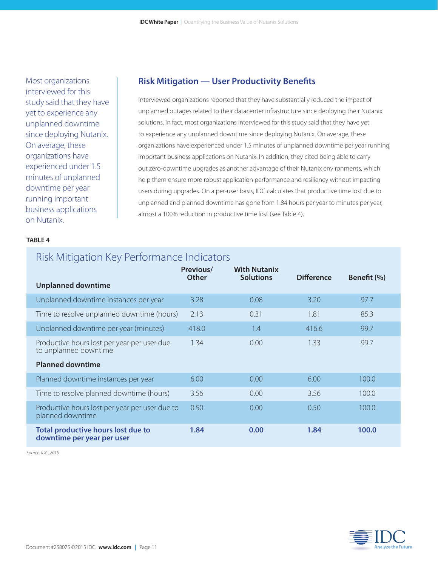Most organizations interviewed for this study said that they have yet to experience any unplanned downtime since deploying Nutanix. On average, these organizations have experienced under 1.5 minutes of unplanned downtime per year running important business applications on Nutanix.

#### **Risk Mitigation — User Productivity Benefits**

Interviewed organizations reported that they have substantially reduced the impact of unplanned outages related to their datacenter infrastructure since deploying their Nutanix solutions. In fact, most organizations interviewed for this study said that they have yet to experience any unplanned downtime since deploying Nutanix. On average, these organizations have experienced under 1.5 minutes of unplanned downtime per year running important business applications on Nutanix. In addition, they cited being able to carry out zero-downtime upgrades as another advantage of their Nutanix environments, which help them ensure more robust application performance and resiliency without impacting users during upgrades. On a per-user basis, IDC calculates that productive time lost due to unplanned and planned downtime has gone from 1.84 hours per year to minutes per year, almost a 100% reduction in productive time lost (see Table 4).

#### **TABLE 4**

## Risk Mitigation Key Performance Indicators

|                                                                      | Previous/<br><b>Other</b> | <b>With Nutanix</b><br><b>Solutions</b> | <b>Difference</b> | Benefit (%) |
|----------------------------------------------------------------------|---------------------------|-----------------------------------------|-------------------|-------------|
| <b>Unplanned downtime</b>                                            |                           |                                         |                   |             |
| Unplanned downtime instances per year                                | 3.28                      | 0.08                                    | 3.20              | 97.7        |
| Time to resolve unplanned downtime (hours)                           | 2.13                      | 0.31                                    | 1.81              | 85.3        |
| Unplanned downtime per year (minutes)                                | 418.0                     | 1.4                                     | 416.6             | 99.7        |
| Productive hours lost per year per user due<br>to unplanned downtime | 1.34                      | 0.00                                    | 1.33              | 99.7        |
| <b>Planned downtime</b>                                              |                           |                                         |                   |             |
| Planned downtime instances per year                                  | 6.00                      | 0.00                                    | 6.00              | 100.0       |
| Time to resolve planned downtime (hours)                             | 3.56                      | 0.00                                    | 3.56              | 100.0       |
| Productive hours lost per year per user due to<br>planned downtime   | 0.50                      | 0.00                                    | 0.50              | 100.0       |
| Total productive hours lost due to<br>downtime per year per user     | 1.84                      | 0.00                                    | 1.84              | 100.0       |

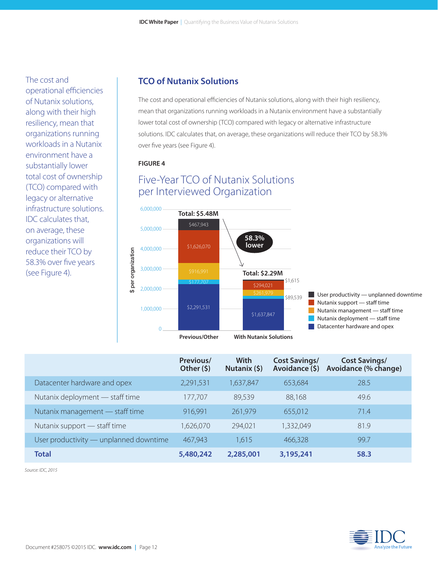The cost and operational efficiencies of Nutanix solutions, along with their high resiliency, mean that organizations running workloads in a Nutanix environment have a substantially lower total cost of ownership (TCO) compared with legacy or alternative infrastructure solutions. IDC calculates that, on average, these organizations will reduce their TCO by 58.3% over five years (see Figure 4).

#### **TCO of Nutanix Solutions**

The cost and operational efficiencies of Nutanix solutions, along with their high resiliency, mean that organizations running workloads in a Nutanix environment have a substantially lower total cost of ownership (TCO) compared with legacy or alternative infrastructure solutions. IDC calculates that, on average, these organizations will reduce their TCO by 58.3% over five years (see Figure 4).

#### **FIGURE 4**

### Five-Year TCO of Nutanix Solutions per Interviewed Organization



|                                        | Previous/<br>Other $(5)$ | With<br>Nutanix $(5)$ | <b>Cost Savings/</b><br>Avoidance (\$) | <b>Cost Savings/</b><br>Avoidance (% change) |
|----------------------------------------|--------------------------|-----------------------|----------------------------------------|----------------------------------------------|
| Datacenter hardware and opex           | 2,291,531                | 1,637,847             | 653,684                                | 28.5                                         |
| Nutanix deployment - staff time        | 177,707                  | 89,539                | 88,168                                 | 49.6                                         |
| Nutanix management - staff time        | 916,991                  | 261,979               | 655,012                                | 71.4                                         |
| Nutanix support — staff time           | 1,626,070                | 294,021               | 1,332,049                              | 81.9                                         |
| User productivity — unplanned downtime | 467,943                  | 1,615                 | 466,328                                | 99.7                                         |
| <b>Total</b>                           | 5,480,242                | 2,285,001             | 3,195,241                              | 58.3                                         |

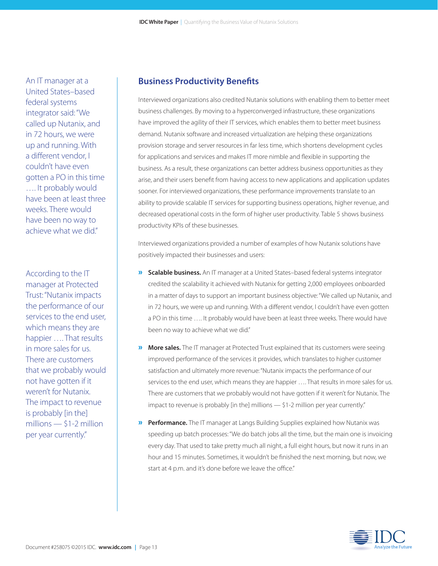An IT manager at a United States–based federal systems integrator said: "We called up Nutanix, and in 72 hours, we were up and running. With a different vendor, I couldn't have even gotten a PO in this time …. It probably would have been at least three weeks. There would have been no way to achieve what we did."

According to the IT manager at Protected Trust: "Nutanix impacts the performance of our services to the end user, which means they are happier …. That results in more sales for us. There are customers that we probably would not have gotten if it weren't for Nutanix. The impact to revenue is probably [in the] millions  $-$  \$1-2 million per year currently."

#### **Business Productivity Benefits**

Interviewed organizations also credited Nutanix solutions with enabling them to better meet business challenges. By moving to a hyperconverged infrastructure, these organizations have improved the agility of their IT services, which enables them to better meet business demand. Nutanix software and increased virtualization are helping these organizations provision storage and server resources in far less time, which shortens development cycles for applications and services and makes IT more nimble and flexible in supporting the business. As a result, these organizations can better address business opportunities as they arise, and their users benefit from having access to new applications and application updates sooner. For interviewed organizations, these performance improvements translate to an ability to provide scalable IT services for supporting business operations, higher revenue, and decreased operational costs in the form of higher user productivity. Table 5 shows business productivity KPIs of these businesses.

Interviewed organizations provided a number of examples of how Nutanix solutions have positively impacted their businesses and users:

- » **Scalable business.** An IT manager at a United States–based federal systems integrator credited the scalability it achieved with Nutanix for getting 2,000 employees onboarded in a matter of days to support an important business objective: "We called up Nutanix, and in 72 hours, we were up and running. With a different vendor, I couldn't have even gotten a PO in this time …. It probably would have been at least three weeks. There would have been no way to achieve what we did."
- » **More sales.** The IT manager at Protected Trust explained that its customers were seeing improved performance of the services it provides, which translates to higher customer satisfaction and ultimately more revenue: "Nutanix impacts the performance of our services to the end user, which means they are happier …. That results in more sales for us. There are customers that we probably would not have gotten if it weren't for Nutanix. The impact to revenue is probably [in the] millions — \$1-2 million per year currently."
- » **Performance.** The IT manager at Langs Building Supplies explained how Nutanix was speeding up batch processes: "We do batch jobs all the time, but the main one is invoicing every day. That used to take pretty much all night, a full eight hours, but now it runs in an hour and 15 minutes. Sometimes, it wouldn't be finished the next morning, but now, we start at 4 p.m. and it's done before we leave the office."

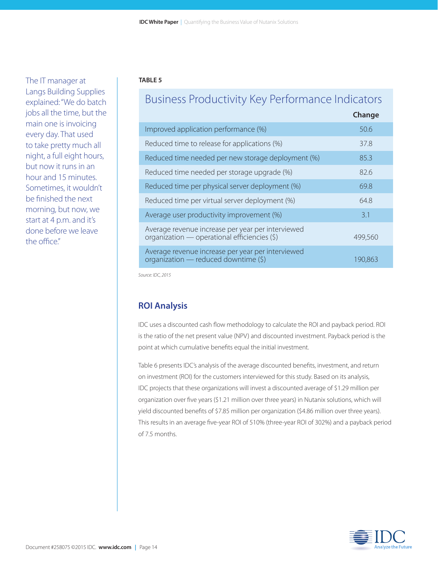The IT manager at Langs Building Supplies explained: "We do batch jobs all the time, but the main one is invoicing every day. That used to take pretty much all night, a full eight hours, but now it runs in an hour and 15 minutes. Sometimes, it wouldn't be finished the next morning, but now, we start at 4 p.m. and it's done before we leave the office."

#### **TABLE 5**

## Business Productivity Key Performance Indicators

|                                                                                                   | Change  |
|---------------------------------------------------------------------------------------------------|---------|
| Improved application performance (%)                                                              | 50.6    |
| Reduced time to release for applications (%)                                                      | 37.8    |
| Reduced time needed per new storage deployment (%)                                                | 85.3    |
| Reduced time needed per storage upgrade (%)                                                       | 82.6    |
| Reduced time per physical server deployment (%)                                                   | 69.8    |
| Reduced time per virtual server deployment (%)                                                    | 64.8    |
| Average user productivity improvement (%)                                                         | 3.1     |
| Average revenue increase per year per interviewed<br>organization - operational efficiencies (\$) | 499,560 |
| Average revenue increase per year per interviewed<br>organization - reduced downtime (\$)         | 190.863 |

*Source: IDC, 2015*

#### **ROI Analysis**

IDC uses a discounted cash flow methodology to calculate the ROI and payback period. ROI is the ratio of the net present value (NPV) and discounted investment. Payback period is the point at which cumulative benefits equal the initial investment.

Table 6 presents IDC's analysis of the average discounted benefits, investment, and return on investment (ROI) for the customers interviewed for this study. Based on its analysis, IDC projects that these organizations will invest a discounted average of \$1.29 million per organization over five years (\$1.21 million over three years) in Nutanix solutions, which will yield discounted benefits of \$7.85 million per organization (\$4.86 million over three years). This results in an average five-year ROI of 510% (three-year ROI of 302%) and a payback period of 7.5 months.

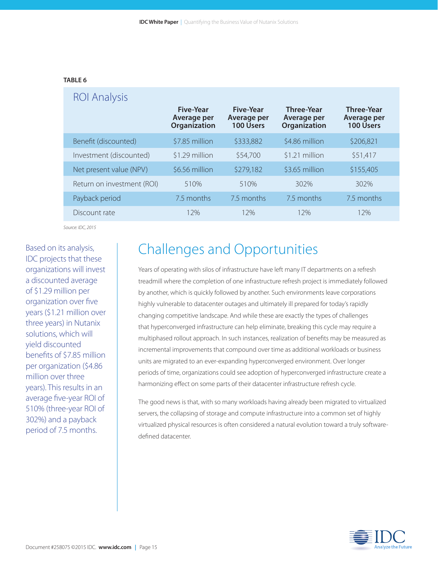#### **TABLE 6**

| <b>ROI Analysis</b>        |                                                        |                                                     |                                                  |                                                      |
|----------------------------|--------------------------------------------------------|-----------------------------------------------------|--------------------------------------------------|------------------------------------------------------|
|                            | <b>Five-Year</b><br>Average per<br><b>Organization</b> | <b>Five-Year</b><br>Average per<br><b>100 Users</b> | <b>Three-Year</b><br>Average per<br>Organization | <b>Three-Year</b><br>Average per<br><b>100 Users</b> |
| Benefit (discounted)       | \$7.85 million                                         | \$333,882                                           | \$4.86 million                                   | \$206,821                                            |
| Investment (discounted)    | \$1.29 million                                         | \$54,700                                            | \$1.21 million                                   | \$51,417                                             |
| Net present value (NPV)    | \$6.56 million                                         | \$279,182                                           | \$3.65 million                                   | \$155,405                                            |
| Return on investment (ROI) | 510%                                                   | 510%                                                | 302%                                             | 302%                                                 |
| Payback period             | 7.5 months                                             | 7.5 months                                          | 7.5 months                                       | 7.5 months                                           |
| Discount rate              | 12%                                                    | 12%                                                 | 12%                                              | 12%                                                  |

*Source: IDC, 2015*

Based on its analysis, IDC projects that these organizations will invest a discounted average of \$1.29 million per organization over five years (\$1.21 million over three years) in Nutanix solutions, which will yield discounted benefits of \$7.85 million per organization (\$4.86 million over three years). This results in an average five-year ROI of 510% (three-year ROI of 302%) and a payback period of 7.5 months.

## Challenges and Opportunities

Years of operating with silos of infrastructure have left many IT departments on a refresh treadmill where the completion of one infrastructure refresh project is immediately followed by another, which is quickly followed by another. Such environments leave corporations highly vulnerable to datacenter outages and ultimately ill prepared for today's rapidly changing competitive landscape. And while these are exactly the types of challenges that hyperconverged infrastructure can help eliminate, breaking this cycle may require a multiphased rollout approach. In such instances, realization of benefits may be measured as incremental improvements that compound over time as additional workloads or business units are migrated to an ever-expanding hyperconverged environment. Over longer periods of time, organizations could see adoption of hyperconverged infrastructure create a harmonizing effect on some parts of their datacenter infrastructure refresh cycle.

The good news is that, with so many workloads having already been migrated to virtualized servers, the collapsing of storage and compute infrastructure into a common set of highly virtualized physical resources is often considered a natural evolution toward a truly softwaredefined datacenter.

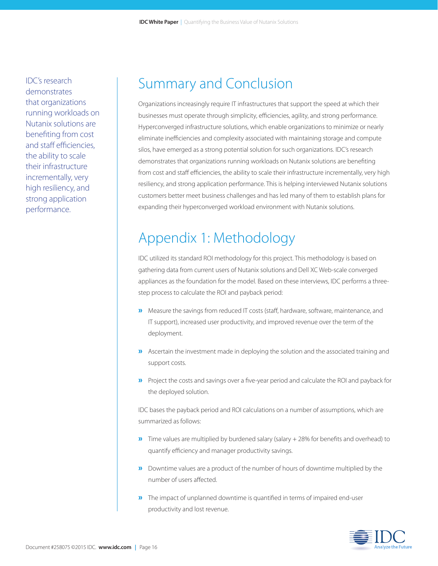IDC's research demonstrates that organizations running workloads on Nutanix solutions are benefiting from cost and staff efficiencies, the ability to scale their infrastructure incrementally, very high resiliency, and strong application performance.

## Summary and Conclusion

Organizations increasingly require IT infrastructures that support the speed at which their businesses must operate through simplicity, efficiencies, agility, and strong performance. Hyperconverged infrastructure solutions, which enable organizations to minimize or nearly eliminate inefficiencies and complexity associated with maintaining storage and compute silos, have emerged as a strong potential solution for such organizations. IDC's research demonstrates that organizations running workloads on Nutanix solutions are benefiting from cost and staff efficiencies, the ability to scale their infrastructure incrementally, very high resiliency, and strong application performance. This is helping interviewed Nutanix solutions customers better meet business challenges and has led many of them to establish plans for expanding their hyperconverged workload environment with Nutanix solutions.

## Appendix 1: Methodology

IDC utilized its standard ROI methodology for this project. This methodology is based on gathering data from current users of Nutanix solutions and Dell XC Web-scale converged appliances as the foundation for the model. Based on these interviews, IDC performs a threestep process to calculate the ROI and payback period:

- »Measure the savings from reduced IT costs (staff, hardware, software, maintenance, and IT support), increased user productivity, and improved revenue over the term of the deployment.
- »Ascertain the investment made in deploying the solution and the associated training and support costs.
- »Project the costs and savings over a five-year period and calculate the ROI and payback for the deployed solution.

IDC bases the payback period and ROI calculations on a number of assumptions, which are summarized as follows:

- »Time values are multiplied by burdened salary (salary + 28% for benefits and overhead) to quantify efficiency and manager productivity savings.
- »Downtime values are a product of the number of hours of downtime multiplied by the number of users affected.
- »The impact of unplanned downtime is quantified in terms of impaired end-user productivity and lost revenue.

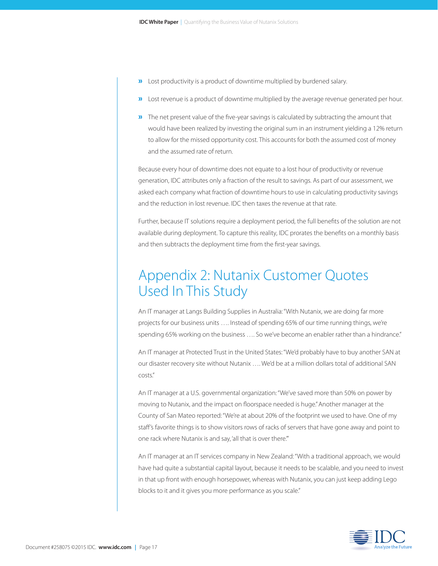- »Lost productivity is a product of downtime multiplied by burdened salary.
- »Lost revenue is a product of downtime multiplied by the average revenue generated per hour.
- **»** The net present value of the five-year savings is calculated by subtracting the amount that would have been realized by investing the original sum in an instrument yielding a 12% return to allow for the missed opportunity cost. This accounts for both the assumed cost of money and the assumed rate of return.

Because every hour of downtime does not equate to a lost hour of productivity or revenue generation, IDC attributes only a fraction of the result to savings. As part of our assessment, we asked each company what fraction of downtime hours to use in calculating productivity savings and the reduction in lost revenue. IDC then taxes the revenue at that rate.

Further, because IT solutions require a deployment period, the full benefits of the solution are not available during deployment. To capture this reality, IDC prorates the benefits on a monthly basis and then subtracts the deployment time from the first-year savings.

## Appendix 2: Nutanix Customer Quotes Used In This Study

An IT manager at Langs Building Supplies in Australia: "With Nutanix, we are doing far more projects for our business units …. Instead of spending 65% of our time running things, we're spending 65% working on the business .... So we've become an enabler rather than a hindrance."

An IT manager at Protected Trust in the United States: "We'd probably have to buy another SAN at our disaster recovery site without Nutanix …. We'd be at a million dollars total of additional SAN costs."

An IT manager at a U.S. governmental organization: "We've saved more than 50% on power by moving to Nutanix, and the impact on floorspace needed is huge." Another manager at the County of San Mateo reported: "We're at about 20% of the footprint we used to have. One of my staff's favorite things is to show visitors rows of racks of servers that have gone away and point to one rack where Nutanix is and say, 'all that is over there.'"

An IT manager at an IT services company in New Zealand: "With a traditional approach, we would have had quite a substantial capital layout, because it needs to be scalable, and you need to invest in that up front with enough horsepower, whereas with Nutanix, you can just keep adding Lego blocks to it and it gives you more performance as you scale."